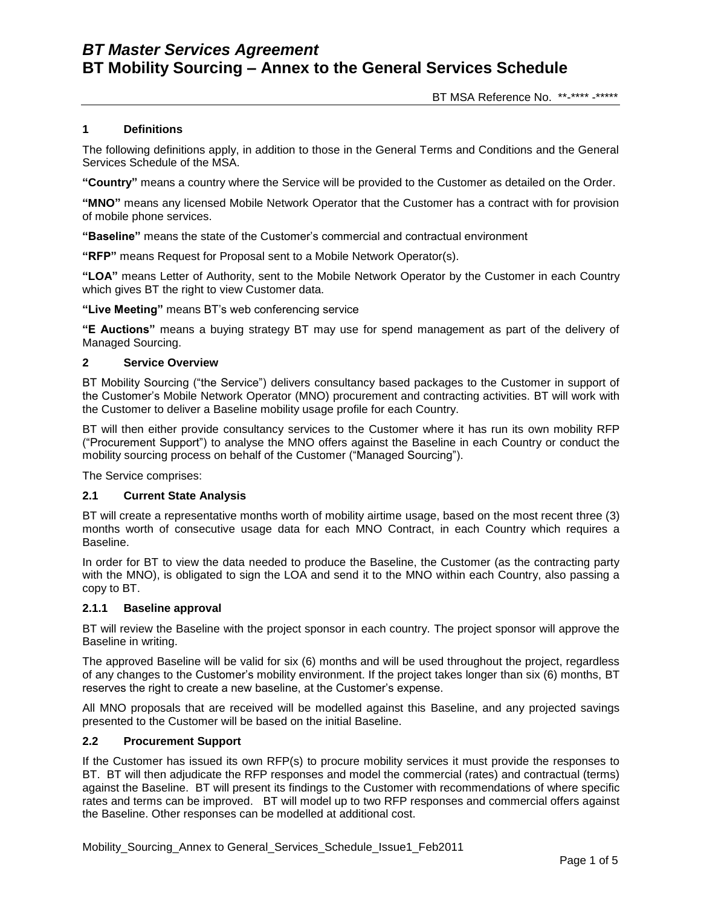BT MSA Reference No. \*\*-\*\*\*\* -\*\*\*\*\*

## **1 Definitions**

The following definitions apply, in addition to those in the General Terms and Conditions and the General Services Schedule of the MSA.

**"Country"** means a country where the Service will be provided to the Customer as detailed on the Order.

**"MNO"** means any licensed Mobile Network Operator that the Customer has a contract with for provision of mobile phone services.

**"Baseline"** means the state of the Customer"s commercial and contractual environment

**"RFP"** means Request for Proposal sent to a Mobile Network Operator(s).

**"LOA"** means Letter of Authority, sent to the Mobile Network Operator by the Customer in each Country which gives BT the right to view Customer data.

**"Live Meeting"** means BT"s web conferencing service

**"E Auctions"** means a buying strategy BT may use for spend management as part of the delivery of Managed Sourcing.

## **2 Service Overview**

BT Mobility Sourcing ("the Service") delivers consultancy based packages to the Customer in support of the Customer"s Mobile Network Operator (MNO) procurement and contracting activities. BT will work with the Customer to deliver a Baseline mobility usage profile for each Country.

BT will then either provide consultancy services to the Customer where it has run its own mobility RFP ("Procurement Support") to analyse the MNO offers against the Baseline in each Country or conduct the mobility sourcing process on behalf of the Customer ("Managed Sourcing").

The Service comprises:

## **2.1 Current State Analysis**

BT will create a representative months worth of mobility airtime usage, based on the most recent three (3) months worth of consecutive usage data for each MNO Contract, in each Country which requires a Baseline.

In order for BT to view the data needed to produce the Baseline, the Customer (as the contracting party with the MNO), is obligated to sign the LOA and send it to the MNO within each Country, also passing a copy to BT.

#### **2.1.1 Baseline approval**

BT will review the Baseline with the project sponsor in each country. The project sponsor will approve the Baseline in writing.

The approved Baseline will be valid for six (6) months and will be used throughout the project, regardless of any changes to the Customer"s mobility environment. If the project takes longer than six (6) months, BT reserves the right to create a new baseline, at the Customer"s expense.

All MNO proposals that are received will be modelled against this Baseline, and any projected savings presented to the Customer will be based on the initial Baseline.

## **2.2 Procurement Support**

If the Customer has issued its own RFP(s) to procure mobility services it must provide the responses to BT. BT will then adjudicate the RFP responses and model the commercial (rates) and contractual (terms) against the Baseline. BT will present its findings to the Customer with recommendations of where specific rates and terms can be improved. BT will model up to two RFP responses and commercial offers against the Baseline. Other responses can be modelled at additional cost.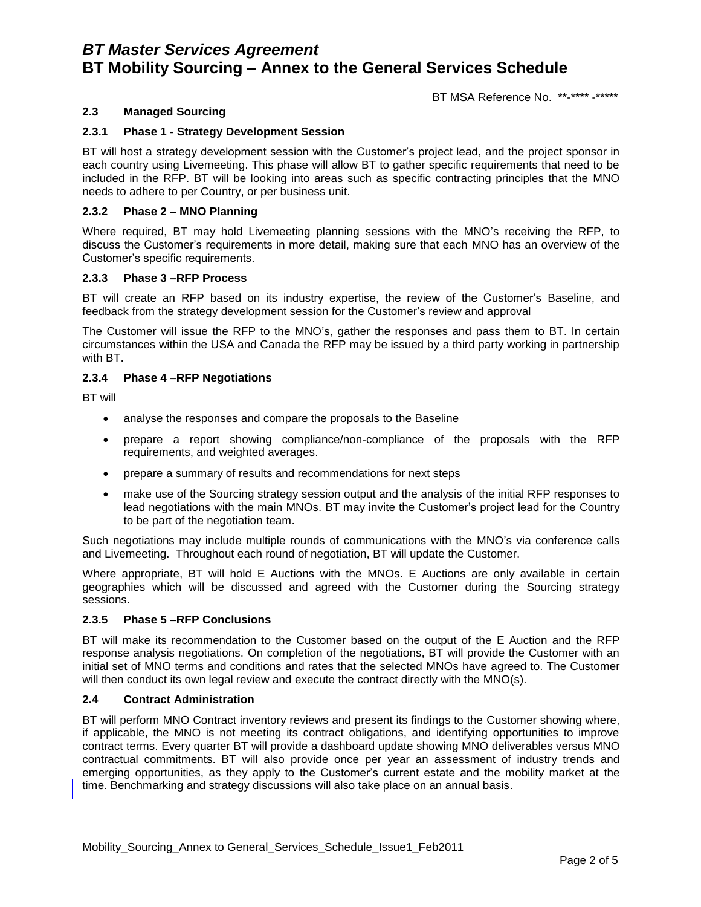BT MSA Reference No. \*\*-\*\*\*\* -\*\*\*\*\*

## **2.3 Managed Sourcing**

## **2.3.1 Phase 1 - Strategy Development Session**

BT will host a strategy development session with the Customer"s project lead, and the project sponsor in each country using Livemeeting. This phase will allow BT to gather specific requirements that need to be included in the RFP. BT will be looking into areas such as specific contracting principles that the MNO needs to adhere to per Country, or per business unit.

### **2.3.2 Phase 2 – MNO Planning**

Where required, BT may hold Livemeeting planning sessions with the MNO"s receiving the RFP, to discuss the Customer"s requirements in more detail, making sure that each MNO has an overview of the Customer"s specific requirements.

### **2.3.3 Phase 3 –RFP Process**

BT will create an RFP based on its industry expertise, the review of the Customer"s Baseline, and feedback from the strategy development session for the Customer"s review and approval

The Customer will issue the RFP to the MNO"s, gather the responses and pass them to BT. In certain circumstances within the USA and Canada the RFP may be issued by a third party working in partnership with BT.

### **2.3.4 Phase 4 –RFP Negotiations**

BT will

- analyse the responses and compare the proposals to the Baseline
- prepare a report showing compliance/non-compliance of the proposals with the RFP requirements, and weighted averages.
- prepare a summary of results and recommendations for next steps
- make use of the Sourcing strategy session output and the analysis of the initial RFP responses to lead negotiations with the main MNOs. BT may invite the Customer"s project lead for the Country to be part of the negotiation team.

Such negotiations may include multiple rounds of communications with the MNO"s via conference calls and Livemeeting. Throughout each round of negotiation, BT will update the Customer.

Where appropriate, BT will hold E Auctions with the MNOs. E Auctions are only available in certain geographies which will be discussed and agreed with the Customer during the Sourcing strategy sessions.

#### **2.3.5 Phase 5 –RFP Conclusions**

BT will make its recommendation to the Customer based on the output of the E Auction and the RFP response analysis negotiations. On completion of the negotiations, BT will provide the Customer with an initial set of MNO terms and conditions and rates that the selected MNOs have agreed to. The Customer will then conduct its own legal review and execute the contract directly with the MNO(s).

### **2.4 Contract Administration**

BT will perform MNO Contract inventory reviews and present its findings to the Customer showing where, if applicable, the MNO is not meeting its contract obligations, and identifying opportunities to improve contract terms. Every quarter BT will provide a dashboard update showing MNO deliverables versus MNO contractual commitments. BT will also provide once per year an assessment of industry trends and emerging opportunities, as they apply to the Customer"s current estate and the mobility market at the time. Benchmarking and strategy discussions will also take place on an annual basis.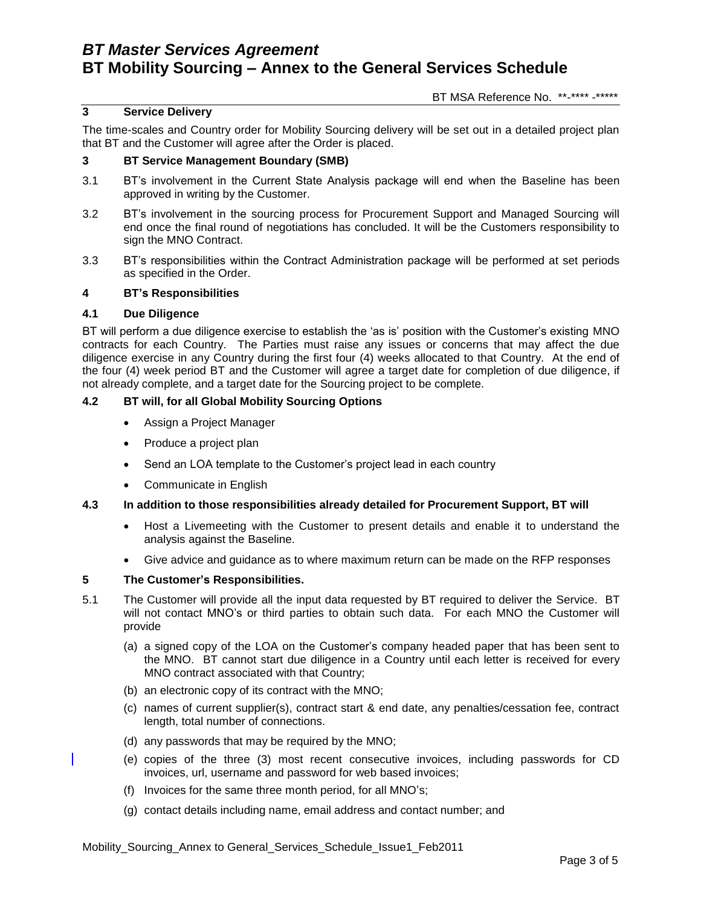BT MSA Reference No. \*\*-\*\*\*\* -\*\*\*\*\*

## **3 Service Delivery**

The time-scales and Country order for Mobility Sourcing delivery will be set out in a detailed project plan that BT and the Customer will agree after the Order is placed.

### **3 BT Service Management Boundary (SMB)**

- 3.1 BT"s involvement in the Current State Analysis package will end when the Baseline has been approved in writing by the Customer.
- 3.2 BT"s involvement in the sourcing process for Procurement Support and Managed Sourcing will end once the final round of negotiations has concluded. It will be the Customers responsibility to sign the MNO Contract.
- 3.3 BT"s responsibilities within the Contract Administration package will be performed at set periods as specified in the Order.

### **4 BT's Responsibilities**

### **4.1 Due Diligence**

BT will perform a due diligence exercise to establish the "as is" position with the Customer"s existing MNO contracts for each Country. The Parties must raise any issues or concerns that may affect the due diligence exercise in any Country during the first four (4) weeks allocated to that Country. At the end of the four (4) week period BT and the Customer will agree a target date for completion of due diligence, if not already complete, and a target date for the Sourcing project to be complete.

## **4.2 BT will, for all Global Mobility Sourcing Options**

- Assign a Project Manager
- Produce a project plan
- Send an LOA template to the Customer's project lead in each country
- Communicate in English

## **4.3 In addition to those responsibilities already detailed for Procurement Support, BT will**

- Host a Livemeeting with the Customer to present details and enable it to understand the analysis against the Baseline.
- Give advice and guidance as to where maximum return can be made on the RFP responses

## **5 The Customer's Responsibilities.**

- 5.1 The Customer will provide all the input data requested by BT required to deliver the Service. BT will not contact MNO"s or third parties to obtain such data. For each MNO the Customer will provide
	- (a) a signed copy of the LOA on the Customer"s company headed paper that has been sent to the MNO. BT cannot start due diligence in a Country until each letter is received for every MNO contract associated with that Country;
	- (b) an electronic copy of its contract with the MNO;
	- (c) names of current supplier(s), contract start & end date, any penalties/cessation fee, contract length, total number of connections.
	- (d) any passwords that may be required by the MNO;
	- (e) copies of the three (3) most recent consecutive invoices, including passwords for CD invoices, url, username and password for web based invoices;
	- (f) Invoices for the same three month period, for all MNO"s;
	- (g) contact details including name, email address and contact number; and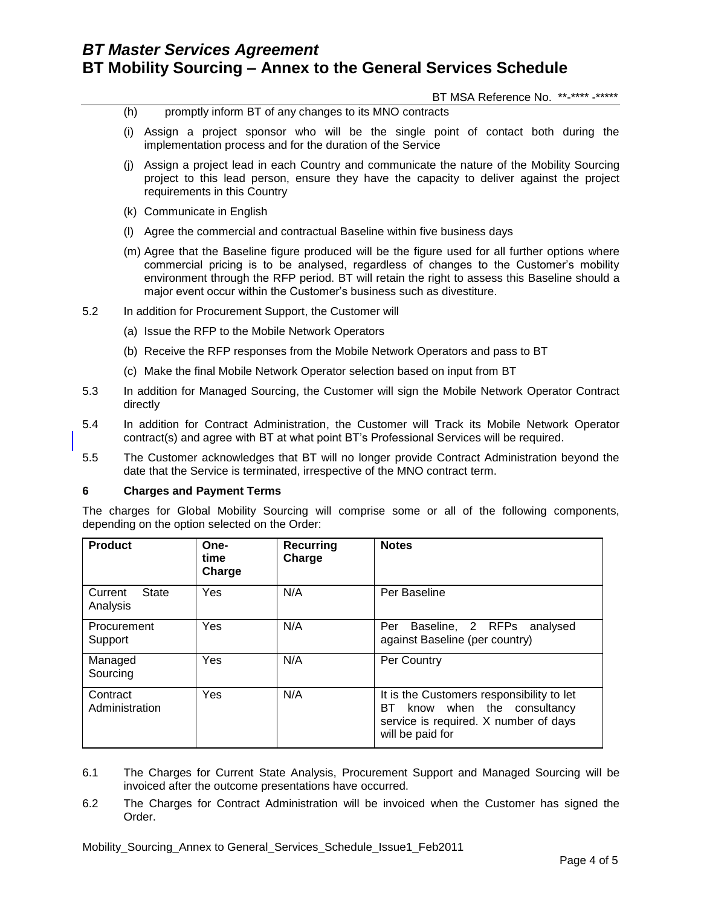BT MSA Reference No. \*\*-\*\*\*\* -\*\*\*\*\*

- (h) promptly inform BT of any changes to its MNO contracts
- (i) Assign a project sponsor who will be the single point of contact both during the implementation process and for the duration of the Service
- (j) Assign a project lead in each Country and communicate the nature of the Mobility Sourcing project to this lead person, ensure they have the capacity to deliver against the project requirements in this Country
- (k) Communicate in English
- (l) Agree the commercial and contractual Baseline within five business days
- (m) Agree that the Baseline figure produced will be the figure used for all further options where commercial pricing is to be analysed, regardless of changes to the Customer"s mobility environment through the RFP period. BT will retain the right to assess this Baseline should a major event occur within the Customer"s business such as divestiture.
- 5.2 In addition for Procurement Support, the Customer will
	- (a) Issue the RFP to the Mobile Network Operators
	- (b) Receive the RFP responses from the Mobile Network Operators and pass to BT
	- (c) Make the final Mobile Network Operator selection based on input from BT
- 5.3 In addition for Managed Sourcing, the Customer will sign the Mobile Network Operator Contract directly
- 5.4 In addition for Contract Administration, the Customer will Track its Mobile Network Operator contract(s) and agree with BT at what point BT"s Professional Services will be required.
- 5.5 The Customer acknowledges that BT will no longer provide Contract Administration beyond the date that the Service is terminated, irrespective of the MNO contract term.

#### **6 Charges and Payment Terms**

The charges for Global Mobility Sourcing will comprise some or all of the following components, depending on the option selected on the Order:

| <b>Product</b>               | One-<br>time<br>Charge | <b>Recurring</b><br>Charge | <b>Notes</b>                                                                                                                               |
|------------------------------|------------------------|----------------------------|--------------------------------------------------------------------------------------------------------------------------------------------|
| State<br>Current<br>Analysis | Yes                    | N/A                        | Per Baseline                                                                                                                               |
| Procurement<br>Support       | Yes                    | N/A                        | Baseline, 2 RFPs<br>Per<br>analysed<br>against Baseline (per country)                                                                      |
| Managed<br>Sourcing          | Yes                    | N/A                        | Per Country                                                                                                                                |
| Contract<br>Administration   | Yes                    | N/A                        | It is the Customers responsibility to let<br>know when the consultancy<br>BT.<br>service is required. X number of days<br>will be paid for |

- 6.1 The Charges for Current State Analysis, Procurement Support and Managed Sourcing will be invoiced after the outcome presentations have occurred.
- 6.2 The Charges for Contract Administration will be invoiced when the Customer has signed the Order.